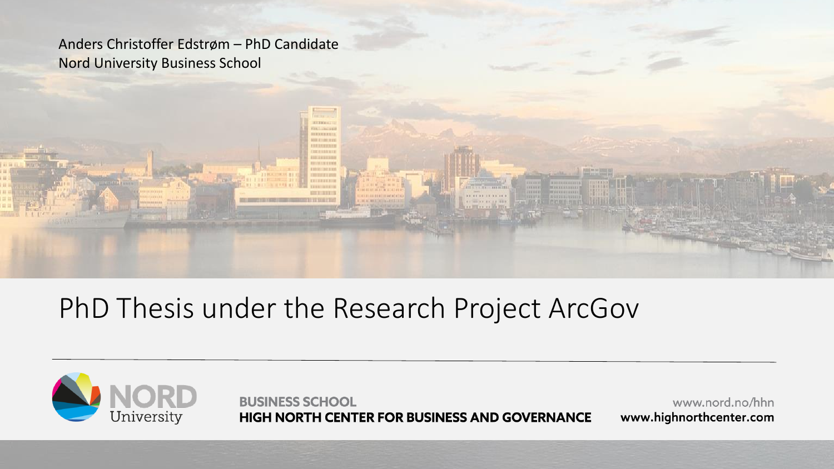Anders Christoffer Edstrøm – PhD Candidate Nord University Business School

#### PhD Thesis under the Research Project ArcGov

*STRICK EXI* 



**BUSINESS SCHOOL** HIGH NORTH CENTER FOR BUSINESS AND GOVERNANCE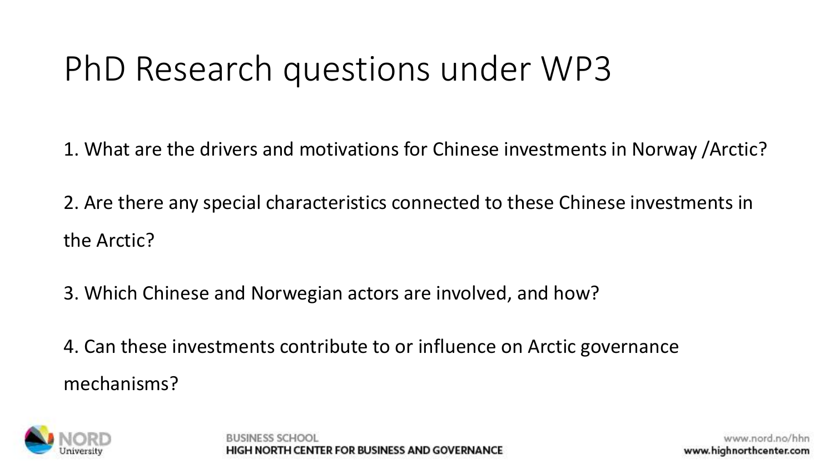# PhD Research questions under WP3

1. What are the drivers and motivations for Chinese investments in Norway /Arctic?

2. Are there any special characteristics connected to these Chinese investments in the Arctic?

3. Which Chinese and Norwegian actors are involved, and how?

4. Can these investments contribute to or influence on Arctic governance mechanisms?

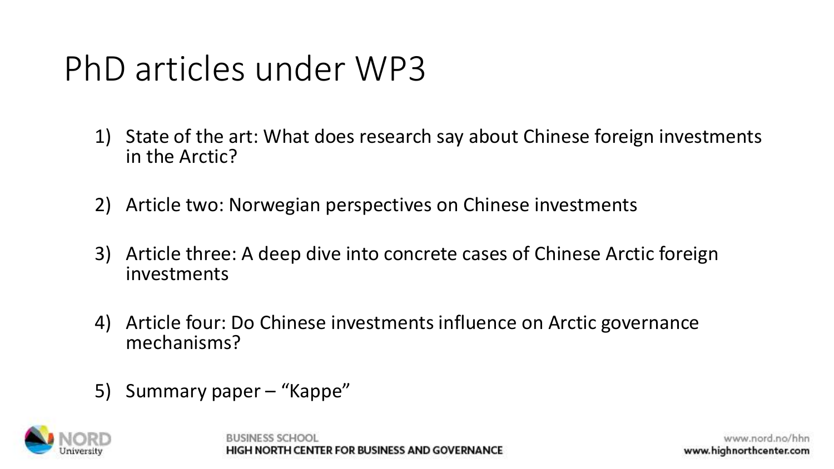# PhD articles under WP3

- 1) State of the art: What does research say about Chinese foreign investments in the Arctic?
- 2) Article two: Norwegian perspectives on Chinese investments
- 3) Article three: A deep dive into concrete cases of Chinese Arctic foreign investments
- 4) Article four: Do Chinese investments influence on Arctic governance mechanisms?
- 5) Summary paper "Kappe"



CENTER FOR BUSINESS AND GOVERNANC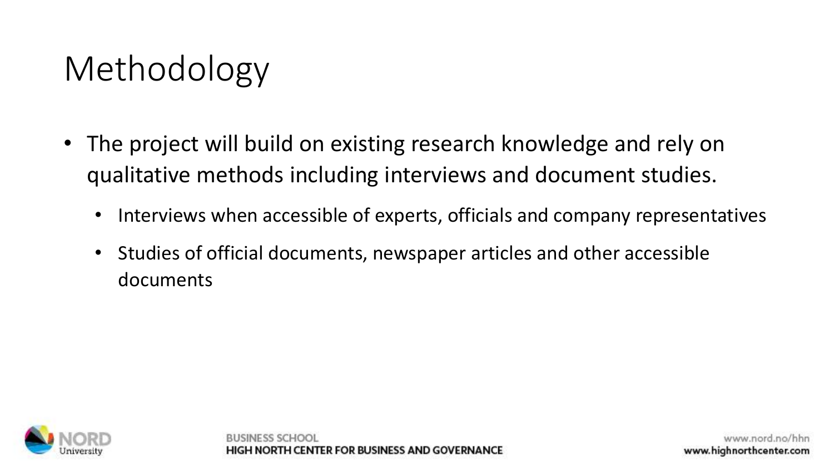# Methodology

- The project will build on existing research knowledge and rely on qualitative methods including interviews and document studies.
	- Interviews when accessible of experts, officials and company representatives
	- Studies of official documents, newspaper articles and other accessible documents

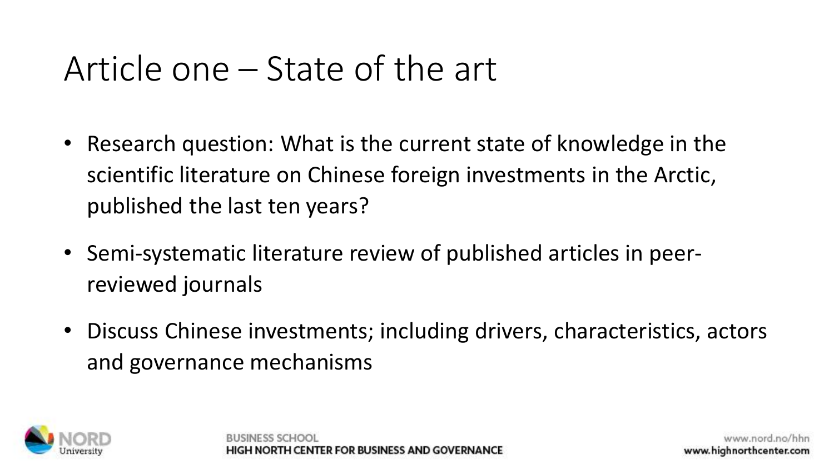### Article one – State of the art

- Research question: What is the current state of knowledge in the scientific literature on Chinese foreign investments in the Arctic, published the last ten years?
- Semi-systematic literature review of published articles in peerreviewed journals
- Discuss Chinese investments; including drivers, characteristics, actors and governance mechanisms

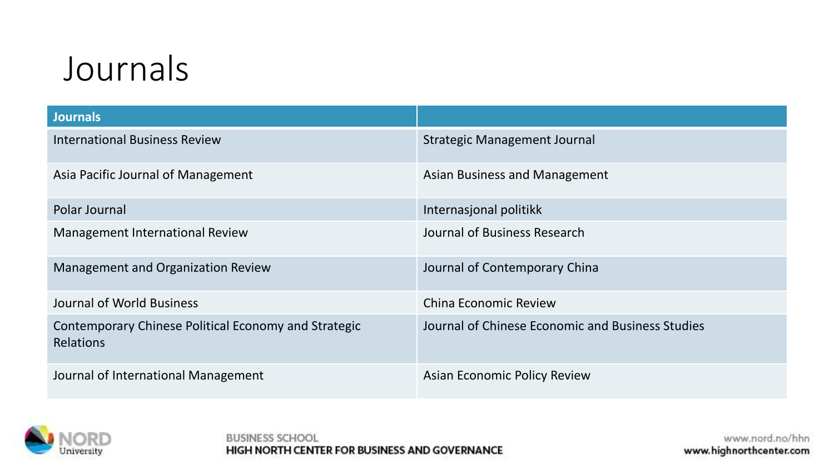#### Journals

| <b>Journals</b>                                                          |                                                  |
|--------------------------------------------------------------------------|--------------------------------------------------|
| <b>International Business Review</b>                                     | Strategic Management Journal                     |
| Asia Pacific Journal of Management                                       | <b>Asian Business and Management</b>             |
| Polar Journal                                                            | Internasjonal politikk                           |
| <b>Management International Review</b>                                   | Journal of Business Research                     |
| <b>Management and Organization Review</b>                                | Journal of Contemporary China                    |
| Journal of World Business                                                | <b>China Economic Review</b>                     |
| Contemporary Chinese Political Economy and Strategic<br><b>Relations</b> | Journal of Chinese Economic and Business Studies |
| Journal of International Management                                      | <b>Asian Economic Policy Review</b>              |



**BUSINESS SCHOOL** HIGH NORTH CENTER FOR BUSINESS AND GOVERNANCE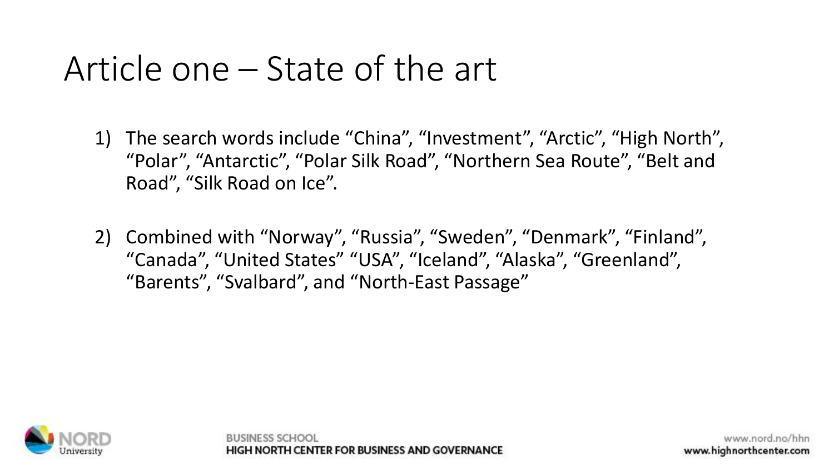#### Article one – State of the art

- 1) The search words include "China", "Investment", "Arctic", "High North", "Polar", "Antarctic", "Polar Silk Road", "Northern Sea Route", "Belt and Road", "Silk Road on Ice".
- 2) Combined with "Norway", "Russia", "Sweden", "Denmark", "Finland", "Canada", "United States" "USA", "Iceland", "Alaska", "Greenland", "Barents", "Svalbard", and "North-East Passage"



ORTH CENTER FOR BUSINESS AND GOVERNANCE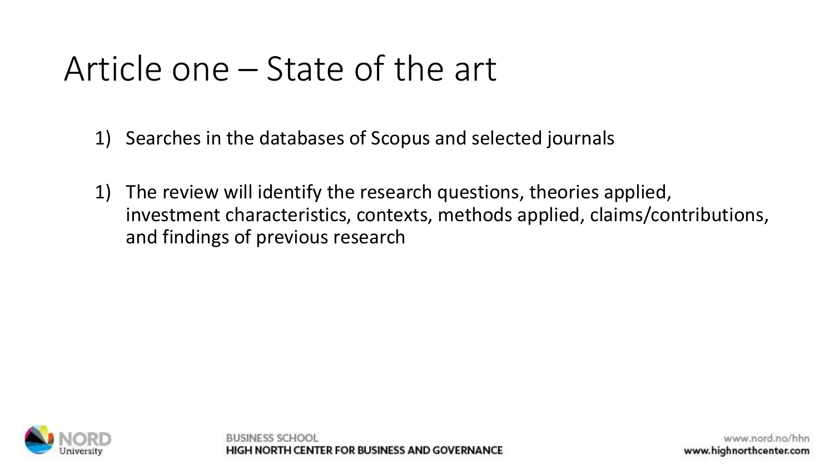### Article one – State of the art

- 1) Searches in the databases of Scopus and selected journals
- 1) The review will identify the research questions, theories applied, investment characteristics, contexts, methods applied, claims/contributions, and findings of previous research



RUSINESS SCH ORTH CENTER FOR BUSINESS AND GOVERNANCE